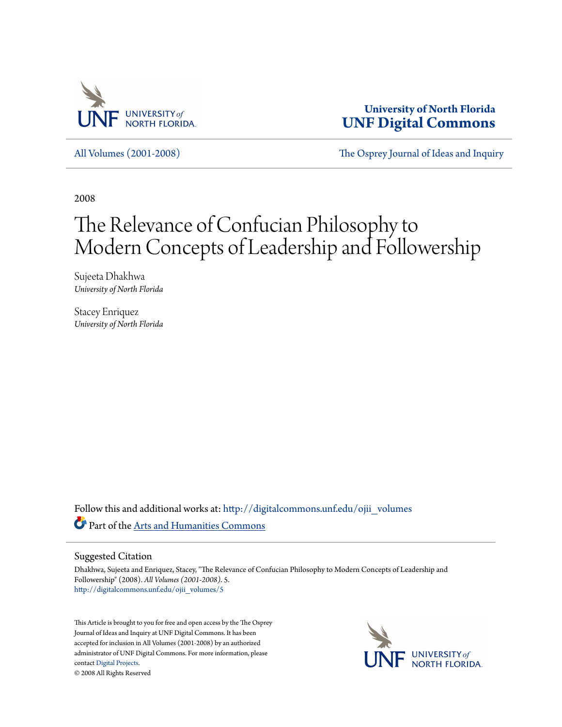

**University of North Florida [UNF Digital Commons](http://digitalcommons.unf.edu?utm_source=digitalcommons.unf.edu%2Fojii_volumes%2F5&utm_medium=PDF&utm_campaign=PDFCoverPages)**

[All Volumes \(2001-2008\)](http://digitalcommons.unf.edu/ojii_volumes?utm_source=digitalcommons.unf.edu%2Fojii_volumes%2F5&utm_medium=PDF&utm_campaign=PDFCoverPages) [The Osprey Journal of Ideas and Inquiry](http://digitalcommons.unf.edu/ojii?utm_source=digitalcommons.unf.edu%2Fojii_volumes%2F5&utm_medium=PDF&utm_campaign=PDFCoverPages)

2008

# The Relevance of Confucian Philosophy to Modern Concepts of Leadership and Followership

Sujeeta Dhakhwa *University of North Florida*

Stacey Enriquez *University of North Florida*

Follow this and additional works at: [http://digitalcommons.unf.edu/ojii\\_volumes](http://digitalcommons.unf.edu/ojii_volumes?utm_source=digitalcommons.unf.edu%2Fojii_volumes%2F5&utm_medium=PDF&utm_campaign=PDFCoverPages) Part of the [Arts and Humanities Commons](http://network.bepress.com/hgg/discipline/438?utm_source=digitalcommons.unf.edu%2Fojii_volumes%2F5&utm_medium=PDF&utm_campaign=PDFCoverPages)

#### Suggested Citation

Dhakhwa, Sujeeta and Enriquez, Stacey, "The Relevance of Confucian Philosophy to Modern Concepts of Leadership and Followership" (2008). *All Volumes (2001-2008)*. 5. [http://digitalcommons.unf.edu/ojii\\_volumes/5](http://digitalcommons.unf.edu/ojii_volumes/5?utm_source=digitalcommons.unf.edu%2Fojii_volumes%2F5&utm_medium=PDF&utm_campaign=PDFCoverPages)

This Article is brought to you for free and open access by the The Osprey Journal of Ideas and Inquiry at UNF Digital Commons. It has been accepted for inclusion in All Volumes (2001-2008) by an authorized administrator of UNF Digital Commons. For more information, please contact [Digital Projects.](mailto:lib-digital@unf.edu) © 2008 All Rights Reserved

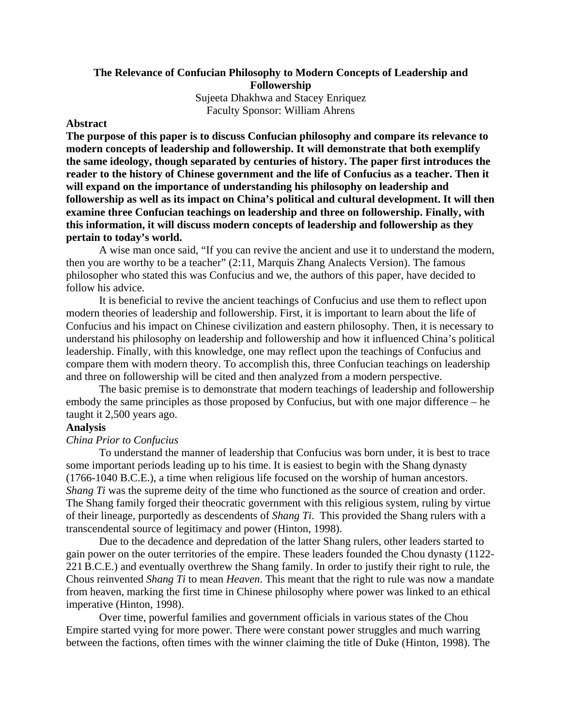# **The Relevance of Confucian Philosophy to Modern Concepts of Leadership and Followership**

Sujeeta Dhakhwa and Stacey Enriquez Faculty Sponsor: William Ahrens

## **Abstract**

**The purpose of this paper is to discuss Confucian philosophy and compare its relevance to modern concepts of leadership and followership. It will demonstrate that both exemplify the same ideology, though separated by centuries of history. The paper first introduces the reader to the history of Chinese government and the life of Confucius as a teacher. Then it will expand on the importance of understanding his philosophy on leadership and followership as well as its impact on China's political and cultural development. It will then examine three Confucian teachings on leadership and three on followership. Finally, with this information, it will discuss modern concepts of leadership and followership as they pertain to today's world.** 

A wise man once said, "If you can revive the ancient and use it to understand the modern, then you are worthy to be a teacher" (2:11, Marquis Zhang Analects Version). The famous philosopher who stated this was Confucius and we, the authors of this paper, have decided to follow his advice.

 It is beneficial to revive the ancient teachings of Confucius and use them to reflect upon modern theories of leadership and followership. First, it is important to learn about the life of Confucius and his impact on Chinese civilization and eastern philosophy. Then, it is necessary to understand his philosophy on leadership and followership and how it influenced China's political leadership. Finally, with this knowledge, one may reflect upon the teachings of Confucius and compare them with modern theory. To accomplish this, three Confucian teachings on leadership and three on followership will be cited and then analyzed from a modern perspective.

 The basic premise is to demonstrate that modern teachings of leadership and followership embody the same principles as those proposed by Confucius, but with one major difference – he taught it 2,500 years ago.

#### **Analysis**

### *China Prior to Confucius*

 To understand the manner of leadership that Confucius was born under, it is best to trace some important periods leading up to his time. It is easiest to begin with the Shang dynasty (1766-1040 B.C.E.), a time when religious life focused on the worship of human ancestors. *Shang Ti* was the supreme deity of the time who functioned as the source of creation and order. The Shang family forged their theocratic government with this religious system, ruling by virtue of their lineage, purportedly as descendents of *Shang Ti*. This provided the Shang rulers with a transcendental source of legitimacy and power (Hinton, 1998).

 Due to the decadence and depredation of the latter Shang rulers, other leaders started to gain power on the outer territories of the empire. These leaders founded the Chou dynasty (1122- 221B.C.E.) and eventually overthrew the Shang family. In order to justify their right to rule, the Chous reinvented *Shang Ti* to mean *Heaven*. This meant that the right to rule was now a mandate from heaven, marking the first time in Chinese philosophy where power was linked to an ethical imperative (Hinton, 1998).

 Over time, powerful families and government officials in various states of the Chou Empire started vying for more power. There were constant power struggles and much warring between the factions, often times with the winner claiming the title of Duke (Hinton, 1998). The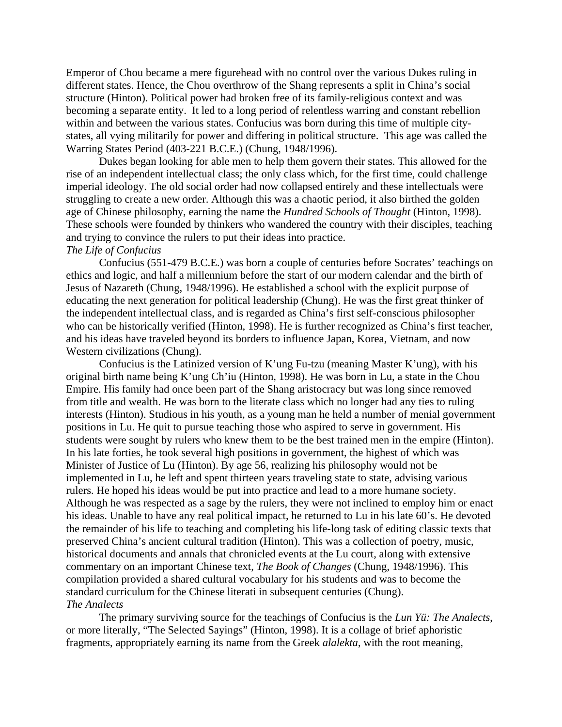Emperor of Chou became a mere figurehead with no control over the various Dukes ruling in different states. Hence, the Chou overthrow of the Shang represents a split in China's social structure (Hinton). Political power had broken free of its family-religious context and was becoming a separate entity. It led to a long period of relentless warring and constant rebellion within and between the various states. Confucius was born during this time of multiple citystates, all vying militarily for power and differing in political structure. This age was called the Warring States Period (403-221 B.C.E.) (Chung, 1948/1996).

 Dukes began looking for able men to help them govern their states. This allowed for the rise of an independent intellectual class; the only class which, for the first time, could challenge imperial ideology. The old social order had now collapsed entirely and these intellectuals were struggling to create a new order. Although this was a chaotic period, it also birthed the golden age of Chinese philosophy, earning the name the *Hundred Schools of Thought* (Hinton, 1998). These schools were founded by thinkers who wandered the country with their disciples, teaching and trying to convince the rulers to put their ideas into practice.

#### *The Life of Confucius*

 Confucius (551-479 B.C.E.) was born a couple of centuries before Socrates' teachings on ethics and logic, and half a millennium before the start of our modern calendar and the birth of Jesus of Nazareth (Chung, 1948/1996). He established a school with the explicit purpose of educating the next generation for political leadership (Chung). He was the first great thinker of the independent intellectual class, and is regarded as China's first self-conscious philosopher who can be historically verified (Hinton, 1998). He is further recognized as China's first teacher, and his ideas have traveled beyond its borders to influence Japan, Korea, Vietnam, and now Western civilizations (Chung).

 Confucius is the Latinized version of K'ung Fu-tzu (meaning Master K'ung), with his original birth name being K'ung Ch'iu (Hinton, 1998). He was born in Lu, a state in the Chou Empire. His family had once been part of the Shang aristocracy but was long since removed from title and wealth. He was born to the literate class which no longer had any ties to ruling interests (Hinton). Studious in his youth, as a young man he held a number of menial government positions in Lu. He quit to pursue teaching those who aspired to serve in government. His students were sought by rulers who knew them to be the best trained men in the empire (Hinton). In his late forties, he took several high positions in government, the highest of which was Minister of Justice of Lu (Hinton). By age 56, realizing his philosophy would not be implemented in Lu, he left and spent thirteen years traveling state to state, advising various rulers. He hoped his ideas would be put into practice and lead to a more humane society. Although he was respected as a sage by the rulers, they were not inclined to employ him or enact his ideas. Unable to have any real political impact, he returned to Lu in his late 60's. He devoted the remainder of his life to teaching and completing his life-long task of editing classic texts that preserved China's ancient cultural tradition (Hinton). This was a collection of poetry, music, historical documents and annals that chronicled events at the Lu court, along with extensive commentary on an important Chinese text, *The Book of Changes* (Chung, 1948/1996). This compilation provided a shared cultural vocabulary for his students and was to become the standard curriculum for the Chinese literati in subsequent centuries (Chung). *The Analects*

 The primary surviving source for the teachings of Confucius is the *Lun Yü: The Analects*, or more literally, "The Selected Sayings" (Hinton, 1998). It is a collage of brief aphoristic fragments, appropriately earning its name from the Greek *alalekta*, with the root meaning,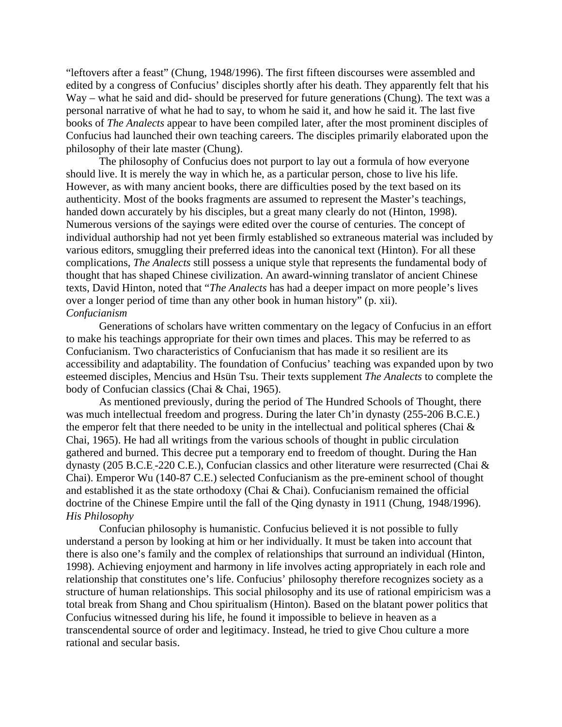"leftovers after a feast" (Chung, 1948/1996). The first fifteen discourses were assembled and edited by a congress of Confucius' disciples shortly after his death. They apparently felt that his Way – what he said and did- should be preserved for future generations (Chung). The text was a personal narrative of what he had to say, to whom he said it, and how he said it. The last five books of *The Analects* appear to have been compiled later, after the most prominent disciples of Confucius had launched their own teaching careers. The disciples primarily elaborated upon the philosophy of their late master (Chung).

 The philosophy of Confucius does not purport to lay out a formula of how everyone should live. It is merely the way in which he, as a particular person, chose to live his life. However, as with many ancient books, there are difficulties posed by the text based on its authenticity. Most of the books fragments are assumed to represent the Master's teachings, handed down accurately by his disciples, but a great many clearly do not (Hinton, 1998). Numerous versions of the sayings were edited over the course of centuries. The concept of individual authorship had not yet been firmly established so extraneous material was included by various editors, smuggling their preferred ideas into the canonical text (Hinton). For all these complications, *The Analects* still possess a unique style that represents the fundamental body of thought that has shaped Chinese civilization. An award-winning translator of ancient Chinese texts, David Hinton, noted that "*The Analects* has had a deeper impact on more people's lives over a longer period of time than any other book in human history" (p. xii). *Confucianism*

 Generations of scholars have written commentary on the legacy of Confucius in an effort to make his teachings appropriate for their own times and places. This may be referred to as Confucianism. Two characteristics of Confucianism that has made it so resilient are its accessibility and adaptability. The foundation of Confucius' teaching was expanded upon by two esteemed disciples, Mencius and Hsün Tsu. Their texts supplement *The Analects* to complete the body of Confucian classics (Chai & Chai, 1965).

 As mentioned previously, during the period of The Hundred Schools of Thought, there was much intellectual freedom and progress. During the later Ch'in dynasty (255-206 B.C.E.) the emperor felt that there needed to be unity in the intellectual and political spheres (Chai  $\&$ Chai, 1965). He had all writings from the various schools of thought in public circulation gathered and burned. This decree put a temporary end to freedom of thought. During the Han dynasty (205 B.C.E.-220 C.E.), Confucian classics and other literature were resurrected (Chai & Chai). Emperor Wu (140-87 C.E.) selected Confucianism as the pre-eminent school of thought and established it as the state orthodoxy (Chai & Chai). Confucianism remained the official doctrine of the Chinese Empire until the fall of the Qing dynasty in 1911 (Chung, 1948/1996). *His Philosophy*

 Confucian philosophy is humanistic. Confucius believed it is not possible to fully understand a person by looking at him or her individually. It must be taken into account that there is also one's family and the complex of relationships that surround an individual (Hinton, 1998). Achieving enjoyment and harmony in life involves acting appropriately in each role and relationship that constitutes one's life. Confucius' philosophy therefore recognizes society as a structure of human relationships. This social philosophy and its use of rational empiricism was a total break from Shang and Chou spiritualism (Hinton). Based on the blatant power politics that Confucius witnessed during his life, he found it impossible to believe in heaven as a transcendental source of order and legitimacy. Instead, he tried to give Chou culture a more rational and secular basis.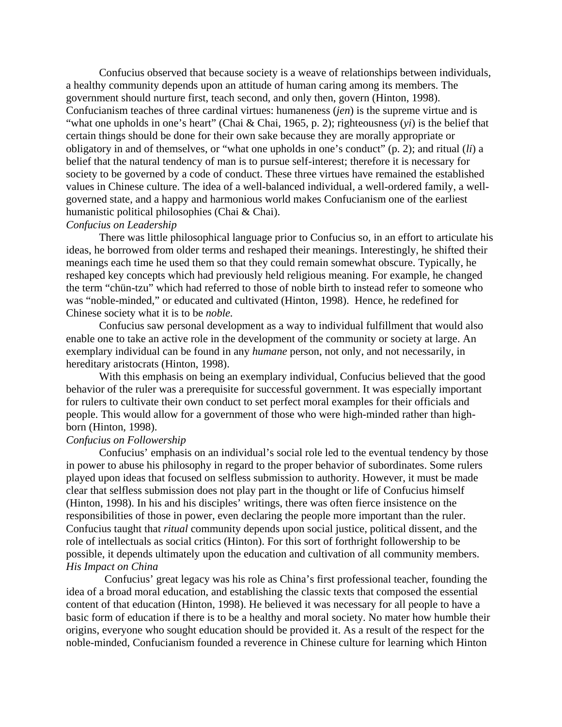Confucius observed that because society is a weave of relationships between individuals, a healthy community depends upon an attitude of human caring among its members. The government should nurture first, teach second, and only then, govern (Hinton, 1998). Confucianism teaches of three cardinal virtues: humaneness (*jen*) is the supreme virtue and is "what one upholds in one's heart" (Chai & Chai, 1965, p. 2); righteousness (*yi*) is the belief that certain things should be done for their own sake because they are morally appropriate or obligatory in and of themselves, or "what one upholds in one's conduct" (p. 2); and ritual (*li*) a belief that the natural tendency of man is to pursue self-interest; therefore it is necessary for society to be governed by a code of conduct. These three virtues have remained the established values in Chinese culture. The idea of a well-balanced individual, a well-ordered family, a wellgoverned state, and a happy and harmonious world makes Confucianism one of the earliest humanistic political philosophies (Chai & Chai).

# *Confucius on Leadership*

 There was little philosophical language prior to Confucius so, in an effort to articulate his ideas, he borrowed from older terms and reshaped their meanings. Interestingly, he shifted their meanings each time he used them so that they could remain somewhat obscure. Typically, he reshaped key concepts which had previously held religious meaning. For example, he changed the term "chün-tzu" which had referred to those of noble birth to instead refer to someone who was "noble-minded," or educated and cultivated (Hinton, 1998). Hence, he redefined for Chinese society what it is to be *noble.* 

 Confucius saw personal development as a way to individual fulfillment that would also enable one to take an active role in the development of the community or society at large. An exemplary individual can be found in any *humane* person, not only, and not necessarily, in hereditary aristocrats (Hinton, 1998).

 With this emphasis on being an exemplary individual, Confucius believed that the good behavior of the ruler was a prerequisite for successful government. It was especially important for rulers to cultivate their own conduct to set perfect moral examples for their officials and people. This would allow for a government of those who were high-minded rather than highborn (Hinton, 1998).

# *Confucius on Followership*

 Confucius' emphasis on an individual's social role led to the eventual tendency by those in power to abuse his philosophy in regard to the proper behavior of subordinates. Some rulers played upon ideas that focused on selfless submission to authority. However, it must be made clear that selfless submission does not play part in the thought or life of Confucius himself (Hinton, 1998). In his and his disciples' writings, there was often fierce insistence on the responsibilities of those in power, even declaring the people more important than the ruler. Confucius taught that *ritual* community depends upon social justice, political dissent, and the role of intellectuals as social critics (Hinton). For this sort of forthright followership to be possible, it depends ultimately upon the education and cultivation of all community members. *His Impact on China*

 Confucius' great legacy was his role as China's first professional teacher, founding the idea of a broad moral education, and establishing the classic texts that composed the essential content of that education (Hinton, 1998). He believed it was necessary for all people to have a basic form of education if there is to be a healthy and moral society. No mater how humble their origins, everyone who sought education should be provided it. As a result of the respect for the noble-minded, Confucianism founded a reverence in Chinese culture for learning which Hinton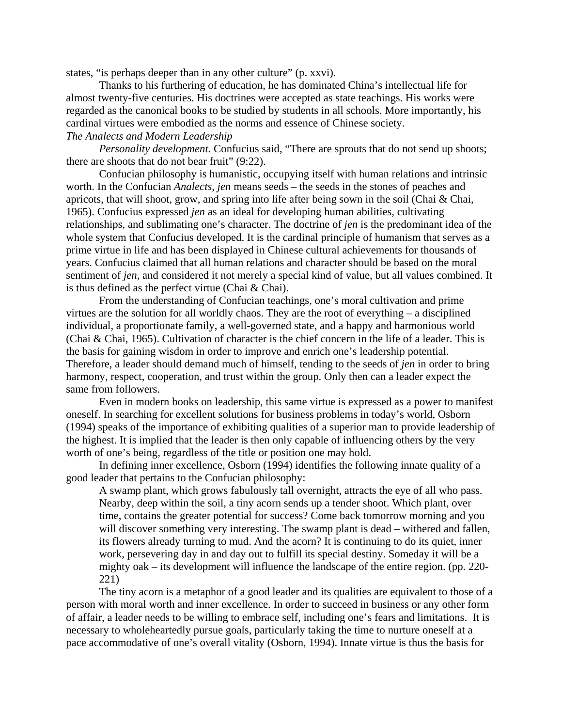states, "is perhaps deeper than in any other culture" (p. xxvi).

 Thanks to his furthering of education, he has dominated China's intellectual life for almost twenty-five centuries. His doctrines were accepted as state teachings. His works were regarded as the canonical books to be studied by students in all schools. More importantly, his cardinal virtues were embodied as the norms and essence of Chinese society. *The Analects and Modern Leadership* 

*Personality development.* Confucius said, "There are sprouts that do not send up shoots; there are shoots that do not bear fruit" (9:22).

Confucian philosophy is humanistic, occupying itself with human relations and intrinsic worth. In the Confucian *Analects, jen* means seeds – the seeds in the stones of peaches and apricots, that will shoot, grow, and spring into life after being sown in the soil (Chai & Chai, 1965). Confucius expressed *jen* as an ideal for developing human abilities, cultivating relationships, and sublimating one's character. The doctrine of *jen* is the predominant idea of the whole system that Confucius developed. It is the cardinal principle of humanism that serves as a prime virtue in life and has been displayed in Chinese cultural achievements for thousands of years. Confucius claimed that all human relations and character should be based on the moral sentiment of *jen*, and considered it not merely a special kind of value, but all values combined. It is thus defined as the perfect virtue (Chai & Chai).

From the understanding of Confucian teachings, one's moral cultivation and prime virtues are the solution for all worldly chaos. They are the root of everything – a disciplined individual, a proportionate family, a well-governed state, and a happy and harmonious world (Chai & Chai, 1965). Cultivation of character is the chief concern in the life of a leader. This is the basis for gaining wisdom in order to improve and enrich one's leadership potential. Therefore, a leader should demand much of himself, tending to the seeds of *jen* in order to bring harmony, respect, cooperation, and trust within the group. Only then can a leader expect the same from followers.

Even in modern books on leadership, this same virtue is expressed as a power to manifest oneself. In searching for excellent solutions for business problems in today's world, Osborn (1994) speaks of the importance of exhibiting qualities of a superior man to provide leadership of the highest. It is implied that the leader is then only capable of influencing others by the very worth of one's being, regardless of the title or position one may hold.

In defining inner excellence, Osborn (1994) identifies the following innate quality of a good leader that pertains to the Confucian philosophy:

A swamp plant, which grows fabulously tall overnight, attracts the eye of all who pass. Nearby, deep within the soil, a tiny acorn sends up a tender shoot. Which plant, over time, contains the greater potential for success? Come back tomorrow morning and you will discover something very interesting. The swamp plant is dead – withered and fallen, its flowers already turning to mud. And the acorn? It is continuing to do its quiet, inner work, persevering day in and day out to fulfill its special destiny. Someday it will be a mighty oak – its development will influence the landscape of the entire region. (pp. 220- 221)

 The tiny acorn is a metaphor of a good leader and its qualities are equivalent to those of a person with moral worth and inner excellence. In order to succeed in business or any other form of affair, a leader needs to be willing to embrace self, including one's fears and limitations. It is necessary to wholeheartedly pursue goals, particularly taking the time to nurture oneself at a pace accommodative of one's overall vitality (Osborn, 1994). Innate virtue is thus the basis for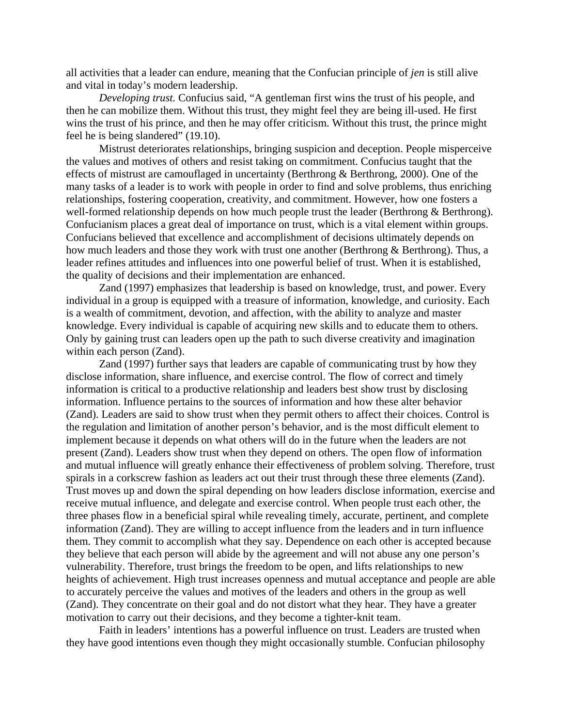all activities that a leader can endure, meaning that the Confucian principle of *jen* is still alive and vital in today's modern leadership.

*Developing trust.* Confucius said, "A gentleman first wins the trust of his people, and then he can mobilize them. Without this trust, they might feel they are being ill-used. He first wins the trust of his prince, and then he may offer criticism. Without this trust, the prince might feel he is being slandered" (19.10).

 Mistrust deteriorates relationships, bringing suspicion and deception. People misperceive the values and motives of others and resist taking on commitment. Confucius taught that the effects of mistrust are camouflaged in uncertainty (Berthrong & Berthrong, 2000). One of the many tasks of a leader is to work with people in order to find and solve problems, thus enriching relationships, fostering cooperation, creativity, and commitment. However, how one fosters a well-formed relationship depends on how much people trust the leader (Berthrong & Berthrong). Confucianism places a great deal of importance on trust, which is a vital element within groups. Confucians believed that excellence and accomplishment of decisions ultimately depends on how much leaders and those they work with trust one another (Berthrong & Berthrong). Thus, a leader refines attitudes and influences into one powerful belief of trust. When it is established, the quality of decisions and their implementation are enhanced.

Zand (1997) emphasizes that leadership is based on knowledge, trust, and power. Every individual in a group is equipped with a treasure of information, knowledge, and curiosity. Each is a wealth of commitment, devotion, and affection, with the ability to analyze and master knowledge. Every individual is capable of acquiring new skills and to educate them to others. Only by gaining trust can leaders open up the path to such diverse creativity and imagination within each person (Zand).

Zand (1997) further says that leaders are capable of communicating trust by how they disclose information, share influence, and exercise control. The flow of correct and timely information is critical to a productive relationship and leaders best show trust by disclosing information. Influence pertains to the sources of information and how these alter behavior (Zand). Leaders are said to show trust when they permit others to affect their choices. Control is the regulation and limitation of another person's behavior, and is the most difficult element to implement because it depends on what others will do in the future when the leaders are not present (Zand). Leaders show trust when they depend on others. The open flow of information and mutual influence will greatly enhance their effectiveness of problem solving. Therefore, trust spirals in a corkscrew fashion as leaders act out their trust through these three elements (Zand). Trust moves up and down the spiral depending on how leaders disclose information, exercise and receive mutual influence, and delegate and exercise control. When people trust each other, the three phases flow in a beneficial spiral while revealing timely, accurate, pertinent, and complete information (Zand). They are willing to accept influence from the leaders and in turn influence them. They commit to accomplish what they say. Dependence on each other is accepted because they believe that each person will abide by the agreement and will not abuse any one person's vulnerability. Therefore, trust brings the freedom to be open, and lifts relationships to new heights of achievement. High trust increases openness and mutual acceptance and people are able to accurately perceive the values and motives of the leaders and others in the group as well (Zand). They concentrate on their goal and do not distort what they hear. They have a greater motivation to carry out their decisions, and they become a tighter-knit team.

 Faith in leaders' intentions has a powerful influence on trust. Leaders are trusted when they have good intentions even though they might occasionally stumble. Confucian philosophy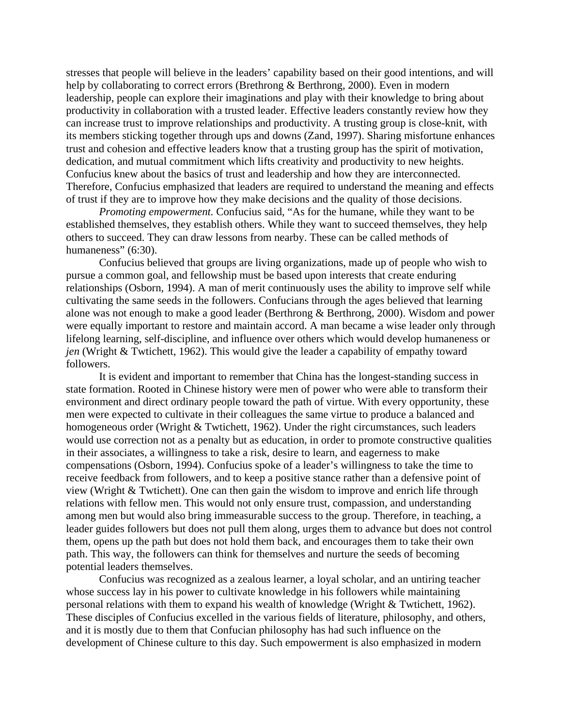stresses that people will believe in the leaders' capability based on their good intentions, and will help by collaborating to correct errors (Brethrong & Berthrong, 2000). Even in modern leadership, people can explore their imaginations and play with their knowledge to bring about productivity in collaboration with a trusted leader. Effective leaders constantly review how they can increase trust to improve relationships and productivity. A trusting group is close-knit, with its members sticking together through ups and downs (Zand, 1997). Sharing misfortune enhances trust and cohesion and effective leaders know that a trusting group has the spirit of motivation, dedication, and mutual commitment which lifts creativity and productivity to new heights. Confucius knew about the basics of trust and leadership and how they are interconnected. Therefore, Confucius emphasized that leaders are required to understand the meaning and effects of trust if they are to improve how they make decisions and the quality of those decisions.

*Promoting empowerment.* Confucius said, "As for the humane, while they want to be established themselves, they establish others. While they want to succeed themselves, they help others to succeed. They can draw lessons from nearby. These can be called methods of humaneness" (6:30).

Confucius believed that groups are living organizations, made up of people who wish to pursue a common goal, and fellowship must be based upon interests that create enduring relationships (Osborn, 1994). A man of merit continuously uses the ability to improve self while cultivating the same seeds in the followers. Confucians through the ages believed that learning alone was not enough to make a good leader (Berthrong & Berthrong, 2000). Wisdom and power were equally important to restore and maintain accord. A man became a wise leader only through lifelong learning, self-discipline, and influence over others which would develop humaneness or *jen* (Wright & Twtichett, 1962). This would give the leader a capability of empathy toward followers.

It is evident and important to remember that China has the longest-standing success in state formation. Rooted in Chinese history were men of power who were able to transform their environment and direct ordinary people toward the path of virtue. With every opportunity, these men were expected to cultivate in their colleagues the same virtue to produce a balanced and homogeneous order (Wright & Twtichett, 1962). Under the right circumstances, such leaders would use correction not as a penalty but as education, in order to promote constructive qualities in their associates, a willingness to take a risk, desire to learn, and eagerness to make compensations (Osborn, 1994). Confucius spoke of a leader's willingness to take the time to receive feedback from followers, and to keep a positive stance rather than a defensive point of view (Wright & Twtichett). One can then gain the wisdom to improve and enrich life through relations with fellow men. This would not only ensure trust, compassion, and understanding among men but would also bring immeasurable success to the group. Therefore, in teaching, a leader guides followers but does not pull them along, urges them to advance but does not control them, opens up the path but does not hold them back, and encourages them to take their own path. This way, the followers can think for themselves and nurture the seeds of becoming potential leaders themselves.

Confucius was recognized as a zealous learner, a loyal scholar, and an untiring teacher whose success lay in his power to cultivate knowledge in his followers while maintaining personal relations with them to expand his wealth of knowledge (Wright & Twtichett, 1962). These disciples of Confucius excelled in the various fields of literature, philosophy, and others, and it is mostly due to them that Confucian philosophy has had such influence on the development of Chinese culture to this day. Such empowerment is also emphasized in modern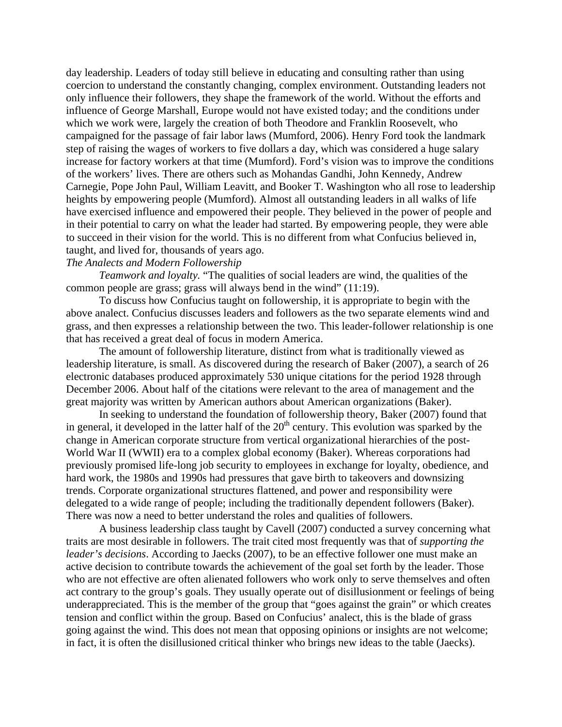day leadership. Leaders of today still believe in educating and consulting rather than using coercion to understand the constantly changing, complex environment. Outstanding leaders not only influence their followers, they shape the framework of the world. Without the efforts and influence of George Marshall, Europe would not have existed today; and the conditions under which we work were, largely the creation of both Theodore and Franklin Roosevelt, who campaigned for the passage of fair labor laws (Mumford, 2006). Henry Ford took the landmark step of raising the wages of workers to five dollars a day, which was considered a huge salary increase for factory workers at that time (Mumford). Ford's vision was to improve the conditions of the workers' lives. There are others such as Mohandas Gandhi, John Kennedy, Andrew Carnegie, Pope John Paul, William Leavitt, and Booker T. Washington who all rose to leadership heights by empowering people (Mumford). Almost all outstanding leaders in all walks of life have exercised influence and empowered their people. They believed in the power of people and in their potential to carry on what the leader had started. By empowering people, they were able to succeed in their vision for the world. This is no different from what Confucius believed in, taught, and lived for, thousands of years ago.

## *The Analects and Modern Followership*

*Teamwork and loyalty.* "The qualities of social leaders are wind, the qualities of the common people are grass; grass will always bend in the wind" (11:19).

 To discuss how Confucius taught on followership, it is appropriate to begin with the above analect. Confucius discusses leaders and followers as the two separate elements wind and grass, and then expresses a relationship between the two. This leader-follower relationship is one that has received a great deal of focus in modern America.

 The amount of followership literature, distinct from what is traditionally viewed as leadership literature, is small. As discovered during the research of Baker (2007), a search of 26 electronic databases produced approximately 530 unique citations for the period 1928 through December 2006. About half of the citations were relevant to the area of management and the great majority was written by American authors about American organizations (Baker).

 In seeking to understand the foundation of followership theory, Baker (2007) found that in general, it developed in the latter half of the  $20<sup>th</sup>$  century. This evolution was sparked by the change in American corporate structure from vertical organizational hierarchies of the post-World War II (WWII) era to a complex global economy (Baker). Whereas corporations had previously promised life-long job security to employees in exchange for loyalty, obedience, and hard work, the 1980s and 1990s had pressures that gave birth to takeovers and downsizing trends. Corporate organizational structures flattened, and power and responsibility were delegated to a wide range of people; including the traditionally dependent followers (Baker). There was now a need to better understand the roles and qualities of followers.

 A business leadership class taught by Cavell (2007) conducted a survey concerning what traits are most desirable in followers. The trait cited most frequently was that of *supporting the leader's decisions*. According to Jaecks (2007), to be an effective follower one must make an active decision to contribute towards the achievement of the goal set forth by the leader. Those who are not effective are often alienated followers who work only to serve themselves and often act contrary to the group's goals. They usually operate out of disillusionment or feelings of being underappreciated. This is the member of the group that "goes against the grain" or which creates tension and conflict within the group. Based on Confucius' analect, this is the blade of grass going against the wind. This does not mean that opposing opinions or insights are not welcome; in fact, it is often the disillusioned critical thinker who brings new ideas to the table (Jaecks).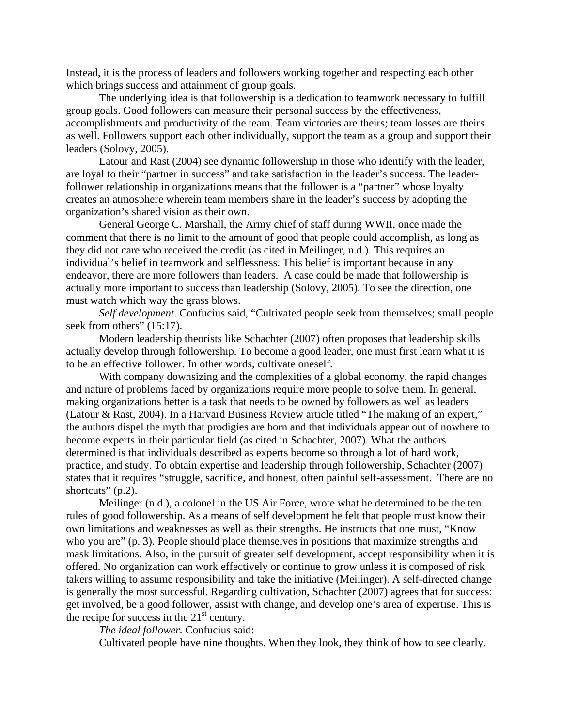Instead, it is the process of leaders and followers working together and respecting each other which brings success and attainment of group goals.

 The underlying idea is that followership is a dedication to teamwork necessary to fulfill group goals. Good followers can measure their personal success by the effectiveness, accomplishments and productivity of the team. Team victories are theirs; team losses are theirs as well. Followers support each other individually, support the team as a group and support their leaders (Solovy, 2005).

 Latour and Rast (2004) see dynamic followership in those who identify with the leader, are loyal to their "partner in success" and take satisfaction in the leader's success. The leaderfollower relationship in organizations means that the follower is a "partner" whose loyalty creates an atmosphere wherein team members share in the leader's success by adopting the organization's shared vision as their own.

 General George C. Marshall, the Army chief of staff during WWII, once made the comment that there is no limit to the amount of good that people could accomplish, as long as they did not care who received the credit (as cited in Meilinger, n.d.). This requires an individual's belief in teamwork and selflessness. This belief is important because in any endeavor, there are more followers than leaders. A case could be made that followership is actually more important to success than leadership (Solovy, 2005). To see the direction, one must watch which way the grass blows.

*Self development*. Confucius said, "Cultivated people seek from themselves; small people seek from others" (15:17).

 Modern leadership theorists like Schachter (2007) often proposes that leadership skills actually develop through followership. To become a good leader, one must first learn what it is to be an effective follower. In other words, cultivate oneself.

 With company downsizing and the complexities of a global economy, the rapid changes and nature of problems faced by organizations require more people to solve them. In general, making organizations better is a task that needs to be owned by followers as well as leaders (Latour & Rast, 2004). In a Harvard Business Review article titled "The making of an expert," the authors dispel the myth that prodigies are born and that individuals appear out of nowhere to become experts in their particular field (as cited in Schachter, 2007). What the authors determined is that individuals described as experts become so through a lot of hard work, practice, and study. To obtain expertise and leadership through followership, Schachter (2007) states that it requires "struggle, sacrifice, and honest, often painful self-assessment. There are no shortcuts" (p.2).

 Meilinger (n.d.), a colonel in the US Air Force, wrote what he determined to be the ten rules of good followership. As a means of self development he felt that people must know their own limitations and weaknesses as well as their strengths. He instructs that one must, "Know who you are" (p. 3). People should place themselves in positions that maximize strengths and mask limitations. Also, in the pursuit of greater self development, accept responsibility when it is offered. No organization can work effectively or continue to grow unless it is composed of risk takers willing to assume responsibility and take the initiative (Meilinger). A self-directed change is generally the most successful. Regarding cultivation, Schachter (2007) agrees that for success: get involved, be a good follower, assist with change, and develop one's area of expertise. This is the recipe for success in the  $21<sup>st</sup>$  century.

*The ideal follower.* Confucius said:

Cultivated people have nine thoughts. When they look, they think of how to see clearly.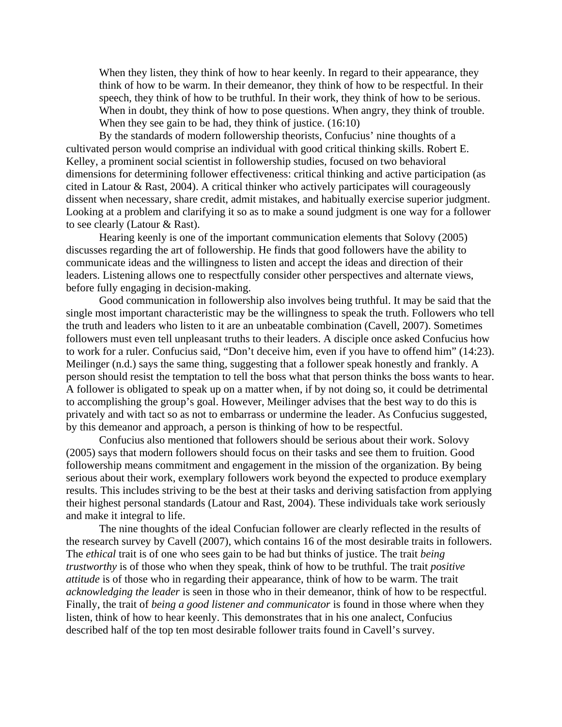When they listen, they think of how to hear keenly. In regard to their appearance, they think of how to be warm. In their demeanor, they think of how to be respectful. In their speech, they think of how to be truthful. In their work, they think of how to be serious. When in doubt, they think of how to pose questions. When angry, they think of trouble. When they see gain to be had, they think of justice. (16:10)

 By the standards of modern followership theorists, Confucius' nine thoughts of a cultivated person would comprise an individual with good critical thinking skills. Robert E. Kelley, a prominent social scientist in followership studies, focused on two behavioral dimensions for determining follower effectiveness: critical thinking and active participation (as cited in Latour & Rast, 2004). A critical thinker who actively participates will courageously dissent when necessary, share credit, admit mistakes, and habitually exercise superior judgment. Looking at a problem and clarifying it so as to make a sound judgment is one way for a follower to see clearly (Latour & Rast).

 Hearing keenly is one of the important communication elements that Solovy (2005) discusses regarding the art of followership. He finds that good followers have the ability to communicate ideas and the willingness to listen and accept the ideas and direction of their leaders. Listening allows one to respectfully consider other perspectives and alternate views, before fully engaging in decision-making.

 Good communication in followership also involves being truthful. It may be said that the single most important characteristic may be the willingness to speak the truth. Followers who tell the truth and leaders who listen to it are an unbeatable combination (Cavell, 2007). Sometimes followers must even tell unpleasant truths to their leaders. A disciple once asked Confucius how to work for a ruler. Confucius said, "Don't deceive him, even if you have to offend him" (14:23). Meilinger (n.d.) says the same thing, suggesting that a follower speak honestly and frankly. A person should resist the temptation to tell the boss what that person thinks the boss wants to hear. A follower is obligated to speak up on a matter when, if by not doing so, it could be detrimental to accomplishing the group's goal. However, Meilinger advises that the best way to do this is privately and with tact so as not to embarrass or undermine the leader. As Confucius suggested, by this demeanor and approach, a person is thinking of how to be respectful.

 Confucius also mentioned that followers should be serious about their work. Solovy (2005) says that modern followers should focus on their tasks and see them to fruition. Good followership means commitment and engagement in the mission of the organization. By being serious about their work, exemplary followers work beyond the expected to produce exemplary results. This includes striving to be the best at their tasks and deriving satisfaction from applying their highest personal standards (Latour and Rast, 2004). These individuals take work seriously and make it integral to life.

 The nine thoughts of the ideal Confucian follower are clearly reflected in the results of the research survey by Cavell (2007), which contains 16 of the most desirable traits in followers. The *ethical* trait is of one who sees gain to be had but thinks of justice. The trait *being trustworthy* is of those who when they speak, think of how to be truthful. The trait *positive attitude* is of those who in regarding their appearance, think of how to be warm. The trait *acknowledging the leader* is seen in those who in their demeanor, think of how to be respectful. Finally, the trait of *being a good listener and communicator* is found in those where when they listen, think of how to hear keenly. This demonstrates that in his one analect, Confucius described half of the top ten most desirable follower traits found in Cavell's survey.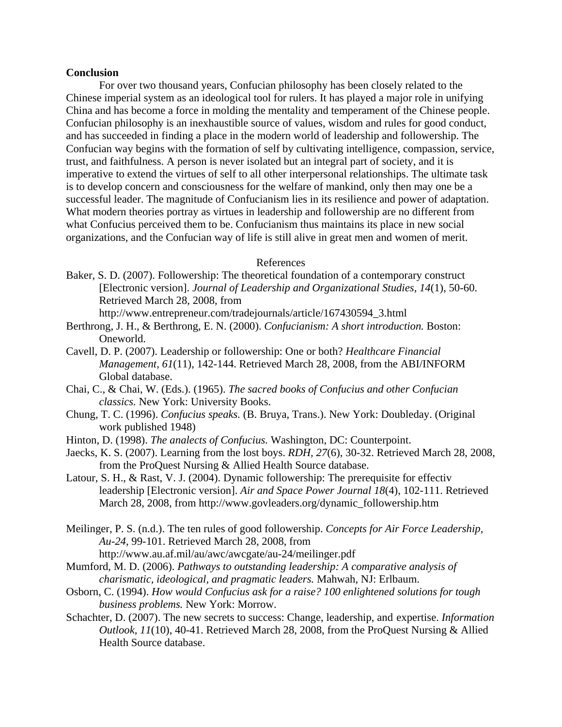#### **Conclusion**

For over two thousand years, Confucian philosophy has been closely related to the Chinese imperial system as an ideological tool for rulers. It has played a major role in unifying China and has become a force in molding the mentality and temperament of the Chinese people. Confucian philosophy is an inexhaustible source of values, wisdom and rules for good conduct, and has succeeded in finding a place in the modern world of leadership and followership. The Confucian way begins with the formation of self by cultivating intelligence, compassion, service, trust, and faithfulness. A person is never isolated but an integral part of society, and it is imperative to extend the virtues of self to all other interpersonal relationships. The ultimate task is to develop concern and consciousness for the welfare of mankind, only then may one be a successful leader. The magnitude of Confucianism lies in its resilience and power of adaptation. What modern theories portray as virtues in leadership and followership are no different from what Confucius perceived them to be. Confucianism thus maintains its place in new social organizations, and the Confucian way of life is still alive in great men and women of merit.

#### References

Baker, S. D. (2007). Followership: The theoretical foundation of a contemporary construct [Electronic version]. *Journal of Leadership and Organizational Studies, 14*(1), 50-60. Retrieved March 28, 2008, from

http://www.entrepreneur.com/tradejournals/article/167430594\_3.html

- Berthrong, J. H., & Berthrong, E. N. (2000). *Confucianism: A short introduction.* Boston: Oneworld.
- Cavell, D. P. (2007). Leadership or followership: One or both? *Healthcare Financial Management, 61*(11), 142-144. Retrieved March 28, 2008, from the ABI/INFORM Global database.
- Chai, C., & Chai, W. (Eds.). (1965). *The sacred books of Confucius and other Confucian classics.* New York: University Books.
- Chung, T. C. (1996). *Confucius speaks.* (B. Bruya, Trans.). New York: Doubleday. (Original work published 1948)
- Hinton, D. (1998). *The analects of Confucius.* Washington, DC: Counterpoint.
- Jaecks, K. S. (2007). Learning from the lost boys. *RDH, 27*(6), 30-32. Retrieved March 28, 2008, from the ProQuest Nursing & Allied Health Source database.
- Latour, S. H., & Rast, V. J. (2004). Dynamic followership: The prerequisite for effectiv leadership [Electronic version]. *Air and Space Power Journal 18*(4), 102-111. Retrieved March 28, 2008, from http://www.govleaders.org/dynamic\_followership.htm
- Meilinger, P. S. (n.d.). The ten rules of good followership. *Concepts for Air Force Leadership, Au-24,* 99-101. Retrieved March 28, 2008, from
	- http://www.au.af.mil/au/awc/awcgate/au-24/meilinger.pdf
- Mumford, M. D. (2006). *Pathways to outstanding leadership: A comparative analysis of charismatic, ideological, and pragmatic leaders.* Mahwah, NJ: Erlbaum.
- Osborn, C. (1994). *How would Confucius ask for a raise? 100 enlightened solutions for tough business problems.* New York: Morrow.
- Schachter, D. (2007). The new secrets to success: Change, leadership, and expertise. *Information Outlook, 11*(10), 40-41. Retrieved March 28, 2008, from the ProQuest Nursing & Allied Health Source database.